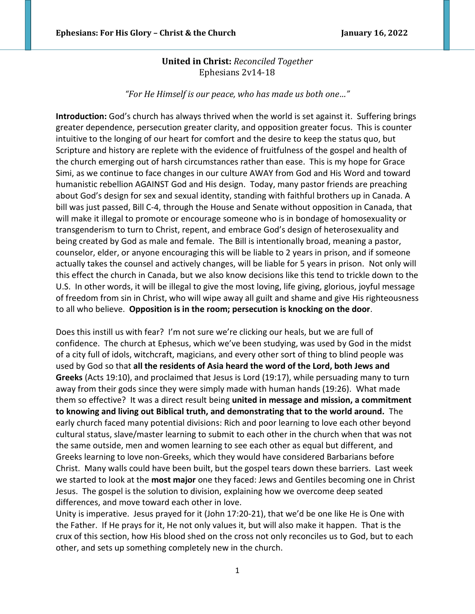# **United in Christ:** *Reconciled Together* Ephesians 2v14-18

*"For He Himself is our peace, who has made us both one…"*

**Introduction:** God's church has always thrived when the world is set against it. Suffering brings greater dependence, persecution greater clarity, and opposition greater focus. This is counter intuitive to the longing of our heart for comfort and the desire to keep the status quo, but Scripture and history are replete with the evidence of fruitfulness of the gospel and health of the church emerging out of harsh circumstances rather than ease. This is my hope for Grace Simi, as we continue to face changes in our culture AWAY from God and His Word and toward humanistic rebellion AGAINST God and His design. Today, many pastor friends are preaching about God's design for sex and sexual identity, standing with faithful brothers up in Canada. A bill was just passed, Bill C-4, through the House and Senate without opposition in Canada, that will make it illegal to promote or encourage someone who is in bondage of homosexuality or transgenderism to turn to Christ, repent, and embrace God's design of heterosexuality and being created by God as male and female. The Bill is intentionally broad, meaning a pastor, counselor, elder, or anyone encouraging this will be liable to 2 years in prison, and if someone actually takes the counsel and actively changes, will be liable for 5 years in prison. Not only will this effect the church in Canada, but we also know decisions like this tend to trickle down to the U.S. In other words, it will be illegal to give the most loving, life giving, glorious, joyful message of freedom from sin in Christ, who will wipe away all guilt and shame and give His righteousness to all who believe. **Opposition is in the room; persecution is knocking on the door**.

Does this instill us with fear? I'm not sure we're clicking our heals, but we are full of confidence. The church at Ephesus, which we've been studying, was used by God in the midst of a city full of idols, witchcraft, magicians, and every other sort of thing to blind people was used by God so that **all the residents of Asia heard the word of the Lord, both Jews and Greeks** (Acts 19:10), and proclaimed that Jesus is Lord (19:17), while persuading many to turn away from their gods since they were simply made with human hands (19:26). What made them so effective? It was a direct result being **united in message and mission, a commitment to knowing and living out Biblical truth, and demonstrating that to the world around.** The early church faced many potential divisions: Rich and poor learning to love each other beyond cultural status, slave/master learning to submit to each other in the church when that was not the same outside, men and women learning to see each other as equal but different, and Greeks learning to love non-Greeks, which they would have considered Barbarians before Christ. Many walls could have been built, but the gospel tears down these barriers. Last week we started to look at the **most major** one they faced: Jews and Gentiles becoming one in Christ Jesus. The gospel is the solution to division, explaining how we overcome deep seated differences, and move toward each other in love.

Unity is imperative. Jesus prayed for it (John 17:20-21), that we'd be one like He is One with the Father. If He prays for it, He not only values it, but will also make it happen. That is the crux of this section, how His blood shed on the cross not only reconciles us to God, but to each other, and sets up something completely new in the church.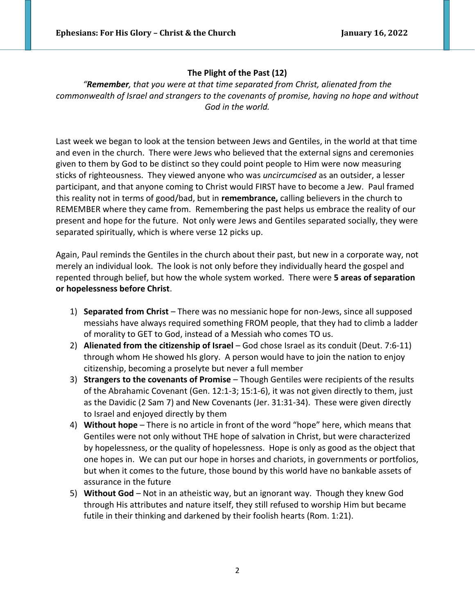## **The Plight of the Past (12)**

*"Remember, that you were at that time separated from Christ, alienated from the commonwealth of Israel and strangers to the covenants of promise, having no hope and without God in the world.*

Last week we began to look at the tension between Jews and Gentiles, in the world at that time and even in the church. There were Jews who believed that the external signs and ceremonies given to them by God to be distinct so they could point people to Him were now measuring sticks of righteousness. They viewed anyone who was *uncircumcised* as an outsider, a lesser participant, and that anyone coming to Christ would FIRST have to become a Jew. Paul framed this reality not in terms of good/bad, but in **remembrance,** calling believers in the church to REMEMBER where they came from. Remembering the past helps us embrace the reality of our present and hope for the future. Not only were Jews and Gentiles separated socially, they were separated spiritually, which is where verse 12 picks up.

Again, Paul reminds the Gentiles in the church about their past, but new in a corporate way, not merely an individual look. The look is not only before they individually heard the gospel and repented through belief, but how the whole system worked. There were **5 areas of separation or hopelessness before Christ**.

- 1) **Separated from Christ** There was no messianic hope for non-Jews, since all supposed messiahs have always required something FROM people, that they had to climb a ladder of morality to GET to God, instead of a Messiah who comes TO us.
- 2) **Alienated from the citizenship of Israel**  God chose Israel as its conduit (Deut. 7:6-11) through whom He showed hIs glory. A person would have to join the nation to enjoy citizenship, becoming a proselyte but never a full member
- 3) **Strangers to the covenants of Promise**  Though Gentiles were recipients of the results of the Abrahamic Covenant (Gen. 12:1-3; 15:1-6), it was not given directly to them, just as the Davidic (2 Sam 7) and New Covenants (Jer. 31:31-34). These were given directly to Israel and enjoyed directly by them
- 4) **Without hope**  There is no article in front of the word "hope" here, which means that Gentiles were not only without THE hope of salvation in Christ, but were characterized by hopelessness, or the quality of hopelessness. Hope is only as good as the object that one hopes in. We can put our hope in horses and chariots, in governments or portfolios, but when it comes to the future, those bound by this world have no bankable assets of assurance in the future
- 5) **Without God**  Not in an atheistic way, but an ignorant way. Though they knew God through His attributes and nature itself, they still refused to worship Him but became futile in their thinking and darkened by their foolish hearts (Rom. 1:21).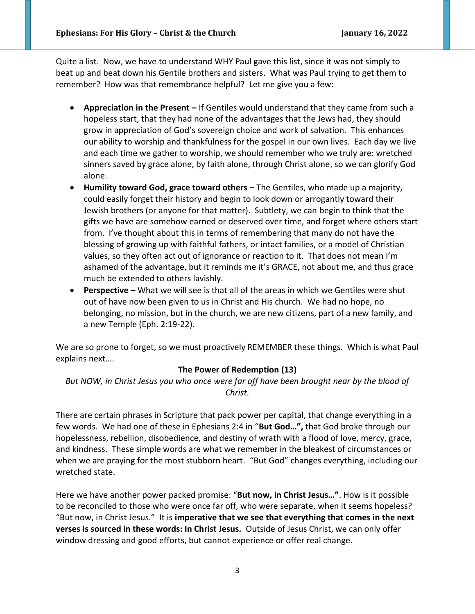Quite a list. Now, we have to understand WHY Paul gave this list, since it was not simply to beat up and beat down his Gentile brothers and sisters. What was Paul trying to get them to remember? How was that remembrance helpful? Let me give you a few:

- **Appreciation in the Present –** If Gentiles would understand that they came from such a hopeless start, that they had none of the advantages that the Jews had, they should grow in appreciation of God's sovereign choice and work of salvation. This enhances our ability to worship and thankfulness for the gospel in our own lives. Each day we live and each time we gather to worship, we should remember who we truly are: wretched sinners saved by grace alone, by faith alone, through Christ alone, so we can glorify God alone.
- **Humility toward God, grace toward others –** The Gentiles, who made up a majority, could easily forget their history and begin to look down or arrogantly toward their Jewish brothers (or anyone for that matter). Subtlety, we can begin to think that the gifts we have are somehow earned or deserved over time, and forget where others start from. I've thought about this in terms of remembering that many do not have the blessing of growing up with faithful fathers, or intact families, or a model of Christian values, so they often act out of ignorance or reaction to it. That does not mean I'm ashamed of the advantage, but it reminds me it's GRACE, not about me, and thus grace much be extended to others lavishly.
- **• Perspective** What we will see is that all of the areas in which we Gentiles were shut out of have now been given to us in Christ and His church. We had no hope, no belonging, no mission, but in the church, we are new citizens, part of a new family, and a new Temple (Eph. 2:19-22).

We are so prone to forget, so we must proactively REMEMBER these things. Which is what Paul explains next….

#### **The Power of Redemption (13)**

*But NOW, in Christ Jesus you who once were far off have been brought near by the blood of Christ.* 

There are certain phrases in Scripture that pack power per capital, that change everything in a few words. We had one of these in Ephesians 2:4 in "**But God…",** that God broke through our hopelessness, rebellion, disobedience, and destiny of wrath with a flood of love, mercy, grace, and kindness. These simple words are what we remember in the bleakest of circumstances or when we are praying for the most stubborn heart. "But God" changes everything, including our wretched state.

Here we have another power packed promise: "**But now, in Christ Jesus…"**. How is it possible to be reconciled to those who were once far off, who were separate, when it seems hopeless? "But now, in Christ Jesus." It is **imperative that we see that everything that comes in the next verses is sourced in these words: In Christ Jesus.** Outside of Jesus Christ, we can only offer window dressing and good efforts, but cannot experience or offer real change.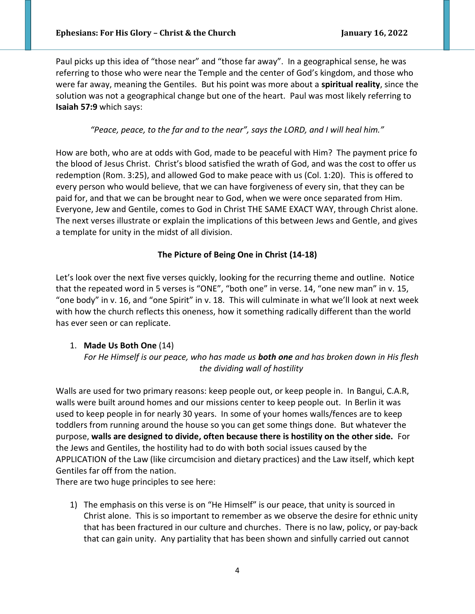Paul picks up this idea of "those near" and "those far away". In a geographical sense, he was referring to those who were near the Temple and the center of God's kingdom, and those who were far away, meaning the Gentiles. But his point was more about a **spiritual reality**, since the solution was not a geographical change but one of the heart. Paul was most likely referring to **Isaiah 57:9** which says:

*"Peace, peace, to the far and to the near", says the LORD, and I will heal him."*

How are both, who are at odds with God, made to be peaceful with Him? The payment price fo the blood of Jesus Christ. Christ's blood satisfied the wrath of God, and was the cost to offer us redemption (Rom. 3:25), and allowed God to make peace with us (Col. 1:20). This is offered to every person who would believe, that we can have forgiveness of every sin, that they can be paid for, and that we can be brought near to God, when we were once separated from Him. Everyone, Jew and Gentile, comes to God in Christ THE SAME EXACT WAY, through Christ alone. The next verses illustrate or explain the implications of this between Jews and Gentle, and gives a template for unity in the midst of all division.

### **The Picture of Being One in Christ (14-18)**

Let's look over the next five verses quickly, looking for the recurring theme and outline. Notice that the repeated word in 5 verses is "ONE", "both one" in verse. 14, "one new man" in v. 15, "one body" in v. 16, and "one Spirit" in v. 18. This will culminate in what we'll look at next week with how the church reflects this oneness, how it something radically different than the world has ever seen or can replicate.

#### 1. **Made Us Both One** (14)

*For He Himself is our peace, who has made us both one and has broken down in His flesh the dividing wall of hostility*

Walls are used for two primary reasons: keep people out, or keep people in. In Bangui, C.A.R, walls were built around homes and our missions center to keep people out. In Berlin it was used to keep people in for nearly 30 years. In some of your homes walls/fences are to keep toddlers from running around the house so you can get some things done. But whatever the purpose, **walls are designed to divide, often because there is hostility on the other side.** For the Jews and Gentiles, the hostility had to do with both social issues caused by the APPLICATION of the Law (like circumcision and dietary practices) and the Law itself, which kept Gentiles far off from the nation.

There are two huge principles to see here:

1) The emphasis on this verse is on "He Himself" is our peace, that unity is sourced in Christ alone. This is so important to remember as we observe the desire for ethnic unity that has been fractured in our culture and churches. There is no law, policy, or pay-back that can gain unity. Any partiality that has been shown and sinfully carried out cannot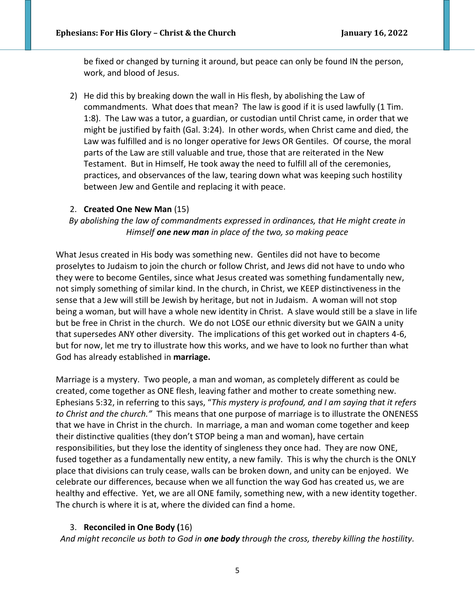be fixed or changed by turning it around, but peace can only be found IN the person, work, and blood of Jesus.

2) He did this by breaking down the wall in His flesh, by abolishing the Law of commandments. What does that mean? The law is good if it is used lawfully (1 Tim. 1:8). The Law was a tutor, a guardian, or custodian until Christ came, in order that we might be justified by faith (Gal. 3:24). In other words, when Christ came and died, the Law was fulfilled and is no longer operative for Jews OR Gentiles. Of course, the moral parts of the Law are still valuable and true, those that are reiterated in the New Testament. But in Himself, He took away the need to fulfill all of the ceremonies, practices, and observances of the law, tearing down what was keeping such hostility between Jew and Gentile and replacing it with peace.

#### 2. **Created One New Man** (15)

*By abolishing the law of commandments expressed in ordinances, that He might create in Himself one new man in place of the two, so making peace*

What Jesus created in His body was something new. Gentiles did not have to become proselytes to Judaism to join the church or follow Christ, and Jews did not have to undo who they were to become Gentiles, since what Jesus created was something fundamentally new, not simply something of similar kind. In the church, in Christ, we KEEP distinctiveness in the sense that a Jew will still be Jewish by heritage, but not in Judaism. A woman will not stop being a woman, but will have a whole new identity in Christ. A slave would still be a slave in life but be free in Christ in the church. We do not LOSE our ethnic diversity but we GAIN a unity that supersedes ANY other diversity. The implications of this get worked out in chapters 4-6, but for now, let me try to illustrate how this works, and we have to look no further than what God has already established in **marriage.** 

Marriage is a mystery. Two people, a man and woman, as completely different as could be created, come together as ONE flesh, leaving father and mother to create something new. Ephesians 5:32, in referring to this says, "*This mystery is profound, and I am saying that it refers to Christ and the church."* This means that one purpose of marriage is to illustrate the ONENESS that we have in Christ in the church. In marriage, a man and woman come together and keep their distinctive qualities (they don't STOP being a man and woman), have certain responsibilities, but they lose the identity of singleness they once had. They are now ONE, fused together as a fundamentally new entity, a new family. This is why the church is the ONLY place that divisions can truly cease, walls can be broken down, and unity can be enjoyed. We celebrate our differences, because when we all function the way God has created us, we are healthy and effective. Yet, we are all ONE family, something new, with a new identity together. The church is where it is at, where the divided can find a home.

#### 3. **Reconciled in One Body (**16)

*And might reconcile us both to God in one body through the cross, thereby killing the hostility.*